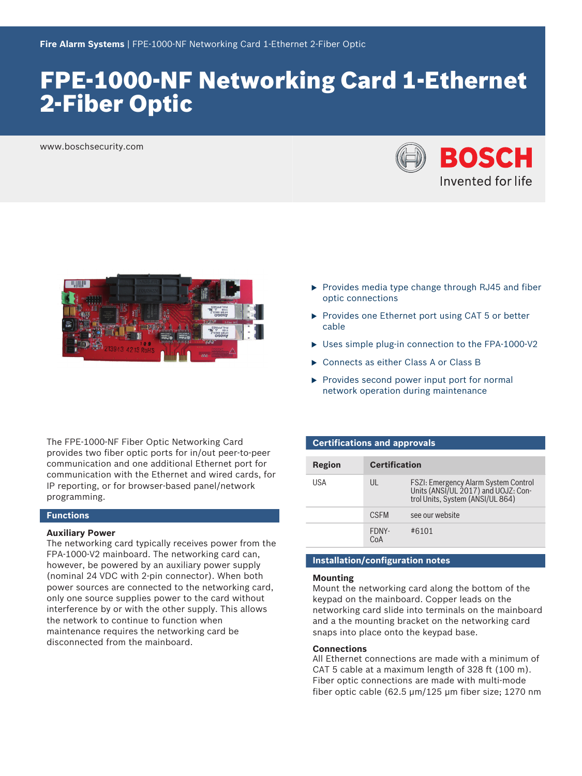# FPE‑1000‑NF Networking Card 1‑Ethernet 2‑Fiber Optic

www.boschsecurity.com





The FPE‑1000‑NF Fiber Optic Networking Card provides two fiber optic ports for in/out peer‑to‑peer communication and one additional Ethernet port for communication with the Ethernet and wired cards, for IP reporting, or for browser-based panel/network programming.

### **Functions**

#### **Auxiliary Power**

The networking card typically receives power from the FPA-1000-V2 mainboard. The networking card can, however, be powered by an auxiliary power supply (nominal 24 VDC with 2-pin connector). When both power sources are connected to the networking card, only one source supplies power to the card without interference by or with the other supply. This allows the network to continue to function when maintenance requires the networking card be disconnected from the mainboard.

- $\triangleright$  Provides media type change through RJ45 and fiber optic connections
- $\triangleright$  Provides one Ethernet port using CAT 5 or better cable
- $\triangleright$  Uses simple plug-in connection to the FPA-1000-V2
- ▶ Connects as either Class A or Class B
- $\triangleright$  Provides second power input port for normal network operation during maintenance

| <b>Certifications and approvals</b> |                      |                                                                                                                        |  |  |
|-------------------------------------|----------------------|------------------------------------------------------------------------------------------------------------------------|--|--|
|                                     |                      |                                                                                                                        |  |  |
| Region                              | <b>Certification</b> |                                                                                                                        |  |  |
| USA                                 | UL                   | <b>FSZI: Emergency Alarm System Control</b><br>Units (ANSI/UL 2017) and UOJZ: Con-<br>trol Units, System (ANSI/UL 864) |  |  |
|                                     | <b>CSFM</b>          | see our website                                                                                                        |  |  |
|                                     | FDNY-<br>CoA         | #6101                                                                                                                  |  |  |

# **Installation/configuration notes**

### **Mounting**

Mount the networking card along the bottom of the keypad on the mainboard. Copper leads on the networking card slide into terminals on the mainboard and a the mounting bracket on the networking card snaps into place onto the keypad base.

### **Connections**

All Ethernet connections are made with a minimum of CAT 5 cable at a maximum length of 328 ft (100 m). Fiber optic connections are made with multi-mode fiber optic cable (62.5 μm/125 μm fiber size; 1270 nm